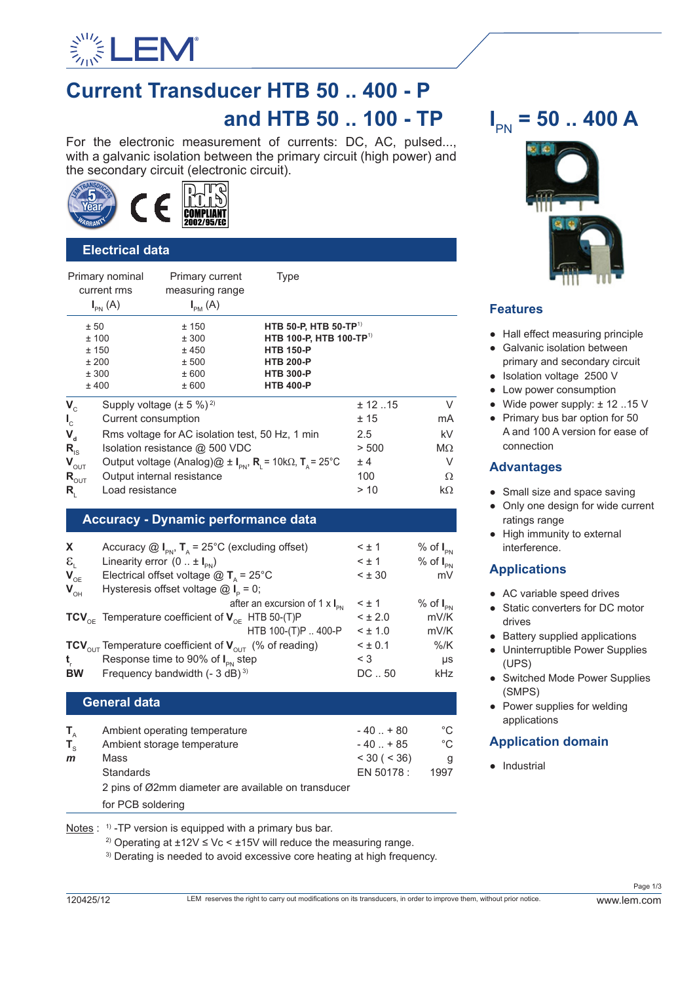

# **Current Transducer HTB 50 .. 400 - P and HTB 50 .. 100 - TP**

For the electronic measurement of currents: DC, AC, pulsed..., with a galvanic isolation between the primary circuit (high power) and the secondary circuit (electronic circuit).



# **Electrical data**

|                                                                                                                          | Primary nominal<br>current rms<br>$I_{\text{PN}}(A)$ | Primary current<br>measuring range<br>$I_{PM}(A)$                                                                                                                                                                                                                                | Type                                                                                                                                                     |                                                      |                                                             |  |  |
|--------------------------------------------------------------------------------------------------------------------------|------------------------------------------------------|----------------------------------------------------------------------------------------------------------------------------------------------------------------------------------------------------------------------------------------------------------------------------------|----------------------------------------------------------------------------------------------------------------------------------------------------------|------------------------------------------------------|-------------------------------------------------------------|--|--|
| ± 50<br>±100<br>±150<br>±200<br>± 300<br>±400                                                                            |                                                      | ±150<br>± 300<br>±450<br>± 500<br>± 600<br>± 600                                                                                                                                                                                                                                 | HTB 50-P, HTB 50-TP <sup>1)</sup><br>HTB 100-P, HTB 100-TP <sup>1)</sup><br><b>HTB 150-P</b><br><b>HTB 200-P</b><br><b>HTB 300-P</b><br><b>HTB 400-P</b> |                                                      |                                                             |  |  |
| $V_c$<br>$\mathbf{I}_{\rm c}$<br>$V_{d}$<br>$R_{\rm is}$<br>$\mathbf{V}_{\text{OUT}}$<br>$R_{_{\rm OUT}}$<br>$R_{\rm i}$ | Load resistance                                      | Supply voltage $(\pm 5\%)^2$<br>Current consumption<br>Rms voltage for AC isolation test, 50 Hz, 1 min<br>Isolation resistance @ 500 VDC<br>Output voltage (Analog)@ $\pm$ I <sub>pN</sub> , R <sub>i</sub> = 10k $\Omega$ , T <sub>a</sub> = 25°C<br>Output internal resistance |                                                                                                                                                          | ± 12.15<br>±15<br>2.5<br>> 500<br>± 4<br>100<br>> 10 | V<br>mA<br>kV<br>$M\Omega$<br>V<br>Ω<br>$k\Omega$           |  |  |
| <b>Accuracy - Dynamic performance data</b>                                                                               |                                                      |                                                                                                                                                                                                                                                                                  |                                                                                                                                                          |                                                      |                                                             |  |  |
| X<br>$\mathcal{E}_{I}$<br>$V_{OE}$<br>$V_{\text{OH}}$                                                                    |                                                      | Linearity error $(0 : t I_{\text{PN}})$<br>Electrical offset voltage $@T_{A} = 25^{\circ}C$<br>Hysteresis offset voltage $@I_{\circ} = 0;$                                                                                                                                       | Accuracy $\textcircled{a}$ I <sub>PN</sub> , T <sub>A</sub> = 25°C (excluding offset)<br>after an excursion of 1 $\times$ I <sub>PN</sub>                | $<$ $\pm$ 1<br>$< \pm 1$<br>< 1.30<br>$< \pm 1$      | $%$ of $I_{PN}$<br>$%$ of $I_{PN}$<br>mV<br>$%$ of $I_{PN}$ |  |  |

mV/K **TCV**<sub>OE</sub> Temperature coefficient of **V**<sub>OE</sub> HTB 50-(T)P  $\leq \pm 2.0$  mV/K<br>HTB 100-(T)P .. 400-P  $\leq \pm 1.0$  mV/K  $HTB 100-(T)P.400-P$ **TCV**<sub>OUT</sub> Temperature coefficient of **V**<sub>OUT</sub> (% of reading)  $\leq \pm 0.1$  %/K<br>**t** Response time to 90% of L step  $\leq 3$  us **t**<sub>r</sub> Response time to 90% of  $I_{\text{PN}}$  step  $\leq$  3 **BW** Frequency bandwidth (- 3 dB)<sup>3)</sup> DC ... 50 kHz

# **General data**

| T,           | Ambient operating temperature                       | $-40$ $+80$      | °C   |
|--------------|-----------------------------------------------------|------------------|------|
| $T_{\rm c}$  | Ambient storage temperature                         | $-40$ $+85$      | °C   |
| $\mathbf{m}$ | Mass                                                | $<$ 30 ( $<$ 36) | q    |
|              | <b>Standards</b>                                    | EN 50178 :       | 1997 |
|              | 2 pins of Ø2mm diameter are available on transducer |                  |      |
|              | for PCB soldering                                   |                  |      |

Notes : <sup>1)</sup> -TP version is equipped with a primary bus bar.

<sup>2)</sup> Operating at  $\pm 12V \leq Vc \leq \pm 15V$  will reduce the measuring range.

<sup>3)</sup> Derating is needed to avoid excessive core heating at high frequency.





# **Features**

- Hall effect measuring principle
- Galvanic isolation between primary and secondary circuit
- Isolation voltage 2500 V
- Low power consumption
- Wide power supply: ± 12 ..15 V
- Primary bus bar option for 50 A and 100 A version for ease of connection

# **Advantages**

- Small size and space saving
- Only one design for wide current ratings range
- High immunity to external interference.

# **Applications**

- AC variable speed drives
- Static converters for DC motor drives
- Battery supplied applications
- Uninterruptible Power Supplies (UPS)
- Switched Mode Power Supplies (SMPS)
- Power supplies for welding applications

# **Application domain**

● Industrial

Page 1/3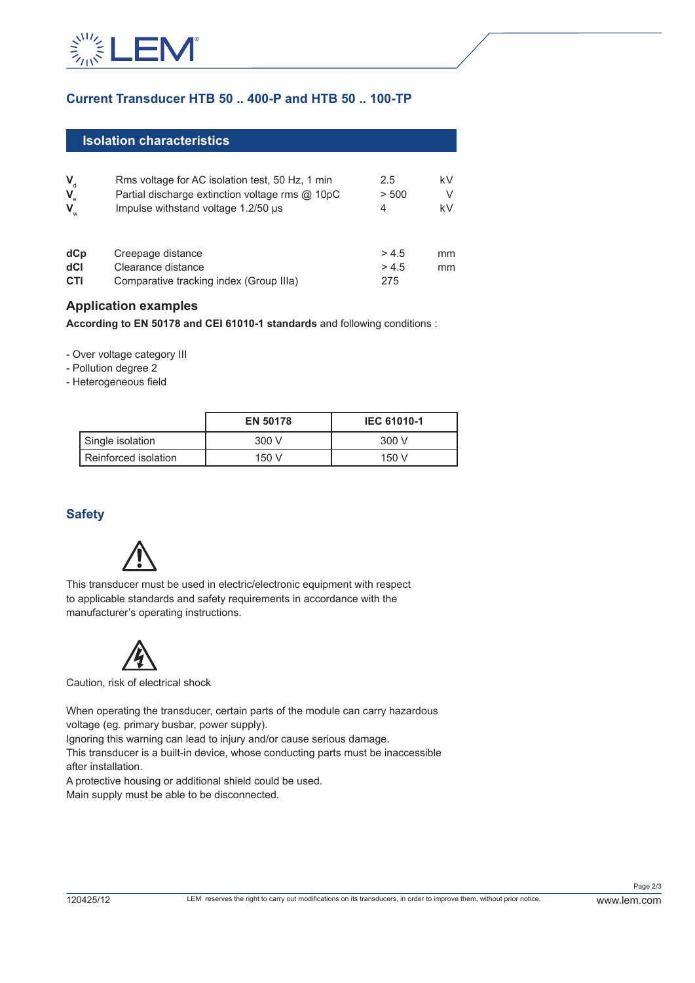

# **Current Transducer HTB 50 .. 400-P and HTB 50 .. 100-TP**

| <b>Isolation characteristics</b>                |                                                                                                                                           |                      |               |  |
|-------------------------------------------------|-------------------------------------------------------------------------------------------------------------------------------------------|----------------------|---------------|--|
| $V_{d}$<br>$\mathbf{V}_{\rm e}$<br>$\mathsf{V}$ | Rms voltage for AC isolation test, 50 Hz, 1 min<br>Partial discharge extinction voltage rms @ 10pC<br>Impulse withstand voltage 1.2/50 µs | 2.5<br>> 500<br>4    | kV<br>V<br>kV |  |
| dCp<br>dCl<br>CTI                               | Creepage distance<br>Clearance distance<br>Comparative tracking index (Group IIIa)                                                        | >4.5<br>> 4.5<br>275 | mm<br>mm      |  |

#### **Application examples**

**According to EN 50178 and CEI 61010-1 standards** and following conditions :

- Over voltage category III

- Pollution degree 2
- Heterogeneous field

|                      | <b>EN 50178</b> | <b>IEC 61010-1</b> |
|----------------------|-----------------|--------------------|
| Single isolation     | 300 V           | 300 V              |
| Reinforced isolation | 150V            | 150 V              |

# **Safety**



This transducer must be used in electric/electronic equipment with respect to applicable standards and safety requirements in accordance with the manufacturer's operating instructions.



Caution, risk of electrical shock

When operating the transducer, certain parts of the module can carry hazardous voltage (eg. primary busbar, power supply).

Ignoring this warning can lead to injury and/or cause serious damage.

This transducer is a built-in device, whose conducting parts must be inaccessible after installation.

A protective housing or additional shield could be used. Main supply must be able to be disconnected.

Page 2/3